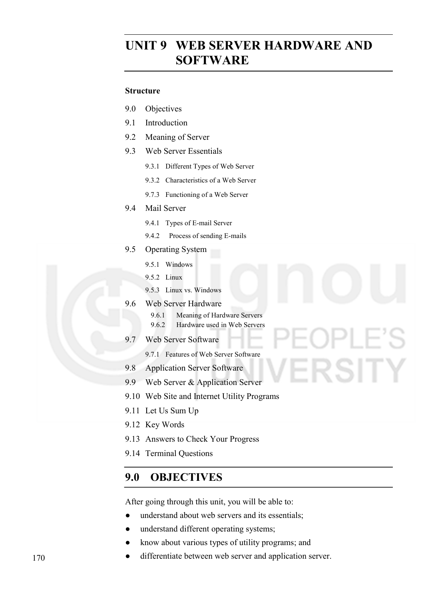# **UNIT 9 WEB SERVER HARDWARE AND SOFTWARE**

#### **Structure**

- 9.0 Objectives
- 9.1 Introduction
- 9.2 Meaning of Server
- 9.3 Web Server Essentials
	- 9.3.1 Different Types of Web Server
	- 9.3.2 Characteristics of a Web Server
	- 9.7.3 Functioning of a Web Server

#### 9.4 Mail Server

- 9.4.1 Types of E-mail Server
- 9.4.2 Process of sending E-mails
- 9.5 Operating System
	- 9.5.1 Windows
	- 9.5.2 Linux
	- 9.5.3 Linux vs. Windows

#### 9.6 Web Server Hardware

- 9.6.1 Meaning of Hardware Servers
- 9.6.2 Hardware used in Web Servers

RSITY

- 9.7 Web Server Software
	- 9.7.1 Features of Web Server Software
- 9.8 Application Server Software
- 9.9 Web Server & Application Server
- 9.10 Web Site and Internet Utility Programs
- 9.11 Let Us Sum Up
- 9.12 Key Words
- 9.13 Answers to Check Your Progress
- 9.14 Terminal Questions

## **9.0 OBJECTIVES**

After going through this unit, you will be able to:

- understand about web servers and its essentials;
- understand different operating systems;
- know about various types of utility programs; and
- differentiate between web server and application server.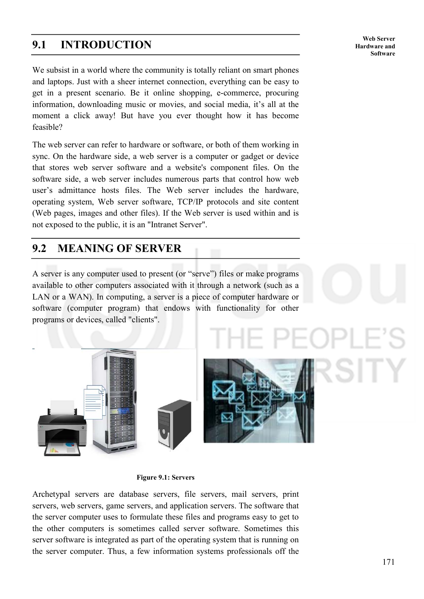## **9.1 INTRODUCTION**

We subsist in a world where the community is totally reliant on smart phones and laptops. Just with a sheer internet connection, everything can be easy to get in a present scenario. Be it online shopping, e-commerce, procuring information, downloading music or movies, and social media, it's all at the moment a click away! But have you ever thought how it has become feasible?

The web server can refer to hardware or software, or both of them working in sync. On the hardware side, a web server is a computer or gadget or device that stores web server software and a website's component files. On the software side, a web server includes numerous parts that control how web user's admittance hosts files. The Web server includes the hardware, operating system, Web server software, TCP/IP protocols and site content (Web pages, images and other files). If the Web server is used within and is not exposed to the public, it is an "Intranet Server".

## **9.2 MEANING OF SERVER**

A server is any computer used to present (or "serve") files or make programs available to other computers associated with it through a network (such as a LAN or a WAN). In computing, a server is a piece of computer hardware or software (computer program) that endows with functionality for other programs or devices, called "clients".





**Figure 9.1: Servers** 

Archetypal servers are database servers, file servers, mail servers, print servers, web servers, game servers, and application servers. The software that the server computer uses to formulate these files and programs easy to get to the other computers is sometimes called server software. Sometimes this server software is integrated as part of the operating system that is running on the server computer. Thus, a few information systems professionals off the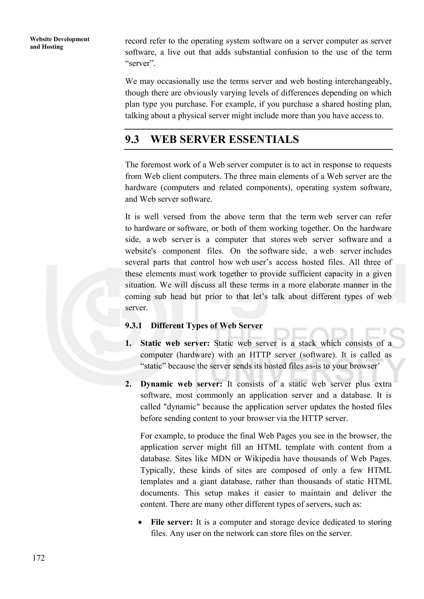**Website Development** 

record refer to the operating system software on a server computer as server software, a live out that adds substantial confusion to the use of the term "server".

We may occasionally use the terms server and web hosting interchangeably, though there are obviously varying levels of differences depending on which plan type you purchase. For example, if you purchase a shared hosting plan, talking about a physical server might include more than you have access to.

# **9.3 WEB SERVER ESSENTIALS**

The foremost work of a Web server computer is to act in response to requests from Web client computers. The three main elements of a Web server are the hardware (computers and related components), operating system software, and Web server software.

It is well versed from the above term that the term web server can refer to hardware or software, or both of them working together. On the hardware side, a web server is a computer that stores web server software and a website's component files. On the software side, a web server includes several parts that control how web user's access hosted files. All three of these elements must work together to provide sufficient capacity in a given situation. We will discuss all these terms in a more elaborate manner in the coming sub head but prior to that let's talk about different types of web server.

#### **9.3.1 Different Types of Web Server**

- **1. Static web server:** Static web server is a stack which consists of a computer (hardware) with an HTTP server (software). It is called as "static" because the server sends its hosted files as-is to your browser'
- **2. Dynamic web server:** It consists of a static web server plus extra software, most commonly an application server and a database. It is called "dynamic" because the application server updates the hosted files before sending content to your browser via the HTTP server.

For example, to produce the final Web Pages you see in the browser, the application server might fill an HTML template with content from a database. Sites like MDN or Wikipedia have thousands of Web Pages. Typically, these kinds of sites are composed of only a few HTML templates and a giant database, rather than thousands of static HTML documents. This setup makes it easier to maintain and deliver the content. There are many other different types of servers, such as:

File server: It is a computer and storage device dedicated to storing files. Any user on the network can store files on the server.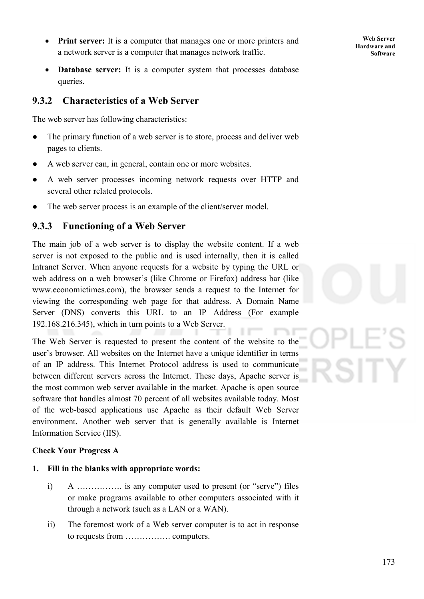- **Print server:** It is a computer that manages one or more printers and a network server is a computer that manages network traffic.
- **Database server:** It is a computer system that processes database queries.

### **9.3.2 Characteristics of a Web Server**

The web server has following characteristics:

- The primary function of a web server is to store, process and deliver web pages to clients.
- A web server can, in general, contain one or more websites.
- A web server processes incoming network requests over HTTP and several other related protocols.
- The web server process is an example of the client/server model.

## **9.3.3 Functioning of a Web Server**

The main job of a web server is to display the website content. If a web server is not exposed to the public and is used internally, then it is called Intranet Server. When anyone requests for a website by typing the URL or web address on a web browser's (like Chrome or Firefox) address bar (like www.economictimes.com), the browser sends a request to the Internet for viewing the corresponding web page for that address. A Domain Name Server (DNS) converts this URL to an IP Address (For example 192.168.216.345), which in turn points to a Web Server.

The Web Server is requested to present the content of the website to the user's browser. All websites on the Internet have a unique identifier in terms of an IP address. This Internet Protocol address is used to communicate between different servers across the Internet. These days, Apache server is the most common web server available in the market. Apache is open source software that handles almost 70 percent of all websites available today. Most of the web-based applications use Apache as their default Web Server environment. Another web server that is generally available is Internet Information Service (IIS).

#### **Check Your Progress A**

- **1. Fill in the blanks with appropriate words:** 
	- i) A ……………. is any computer used to present (or "serve") files or make programs available to other computers associated with it through a network (such as a LAN or a WAN).
	- ii) The foremost work of a Web server computer is to act in response to requests from ……………. computers.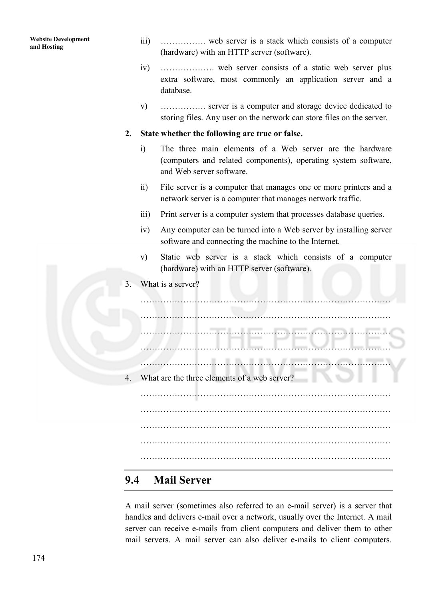| <b>Website Development</b><br>and Hosting | $\overline{111}$ ) | web server is a stack which consists of a computer<br>(hardware) with an HTTP server (software).                                                       |
|-------------------------------------------|--------------------|--------------------------------------------------------------------------------------------------------------------------------------------------------|
|                                           | iv)                | extra software, most commonly an application server and a<br>database.                                                                                 |
|                                           | V)                 | server is a computer and storage device dedicated to<br>storing files. Any user on the network can store files on the server.                          |
|                                           | 2.                 | State whether the following are true or false.                                                                                                         |
|                                           | $\ddot{1}$         | The three main elements of a Web server are the hardware<br>(computers and related components), operating system software,<br>and Web server software. |
|                                           | $\overline{11}$    | File server is a computer that manages one or more printers and a<br>network server is a computer that manages network traffic.                        |
|                                           | $\overline{111}$   | Print server is a computer system that processes database queries.                                                                                     |
|                                           | iv)                | Any computer can be turned into a Web server by installing server<br>software and connecting the machine to the Internet.                              |
|                                           | V)                 | Static web server is a stack which consists of a computer<br>(hardware) with an HTTP server (software).                                                |
|                                           | 3.                 | What is a server?                                                                                                                                      |
|                                           |                    |                                                                                                                                                        |
|                                           |                    |                                                                                                                                                        |
|                                           |                    |                                                                                                                                                        |
|                                           |                    |                                                                                                                                                        |
|                                           |                    |                                                                                                                                                        |
|                                           | 4.                 | What are the three elements of a web server?                                                                                                           |
|                                           |                    |                                                                                                                                                        |
|                                           |                    |                                                                                                                                                        |
|                                           |                    |                                                                                                                                                        |
|                                           |                    |                                                                                                                                                        |
|                                           |                    |                                                                                                                                                        |
|                                           | 9.4                | <b>Mail Server</b>                                                                                                                                     |

A mail server (sometimes also referred to an e-mail server) is a server that handles and delivers e-mail over a network, usually over the Internet. A mail server can receive e-mails from client computers and deliver them to other mail servers. A mail server can also deliver e-mails to client computers.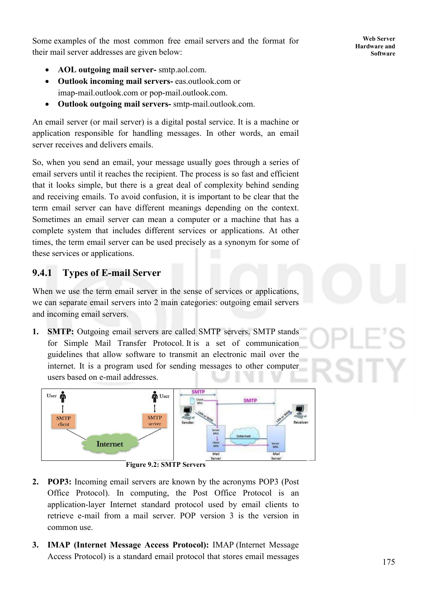Some examples of the most common free email servers and the format for their mail server addresses are given below:

- **AOL outgoing mail server server-** smtp.aol.com.
- **Outlook incoming mail servers servers-** eas.outlook.com or imap-mail.outlook.com or pop-mail.outlook.com.
- **Outlook outgoing mail servers servers-** smtp-mail.outlook.com.

An email server (or mail server) is a digital postal service. It is a machine or application responsible for handling messages. In other words, an email server receives and delivers emails.

So, when you send an email, your message usually goes through a series of application responsible for handling messages. In other words, an email server receives and delivers emails.<br>So, when you send an email, your message usually goes through a series of email servers until it reaches the reci that it looks simple, but there is a great deal of complexity behind sending and receiving emails. To avoid confusion, it is important to be clear that the term email server can have different meanings depending on the context. Sometimes an email server can mean a computer or a machine that has a complete system that includes different services or applications. times, the term email server can be used precisely as a synonym for some of these services or applications. eceiving emails. To avoid confusion, it is important to be clear that the email server can have different meanings depending on the context.<br>times an email server can mean a computer or a machine that has a<br>lete system tha

## **9.4.1 Types of E-mail Server mail Server**

When we use the term email server in the sense of services or applications, we can separate email servers into 2 main categories: outgoing email servers and incoming email servers. I. Superstand incoming email servers into 2 main categories: outgoing email servers<br> **1. SMTP:** Outgoing email servers are called SMTP servers. SMTP stands

for Simple Mail Transfer Protocol. It is a set of communication guidelines that allow software to transmit an electronic mail over the internet. It is a program used for sending messages to other computer users based on e-mail addresses. delines that allow software to transmit an electronic mail over the ernet. It is a program used for sending messages to other computer rs based on e-mail addresses.



**Figure 9. 9.2: SMTP Servers** 

- **2. POP3:** Incoming email servers are known by the acronyms POP3 (Post Office Protocol). In computing, the Post Office Protocol is an application-layer Internet standard protocol used by email clients to **POP3:** Incoming email servers are known by the acronyms POP3 (Post Office Protocol). In computing, the Post Office Protocol is an application-layer Internet standard protocol used by email clients to retrieve e-mail from common use.
- **3. IMAP (Internet Message Access Protocol):** IMAP (Internet Message Access Protocol) is a standard email protocol that stores email messages 175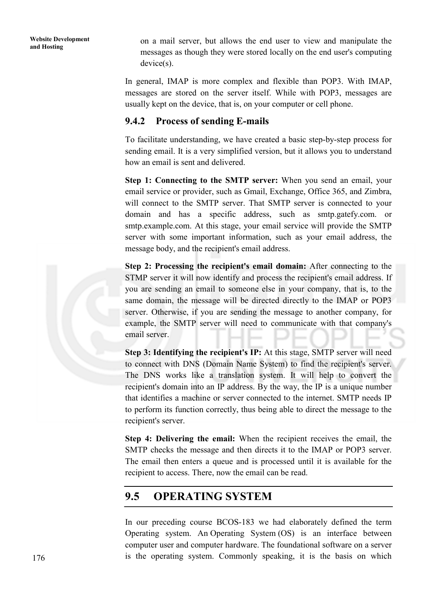on a mail server, but allows the end user to view and manipulate the messages as though they were stored locally on the end user's computing device(s).

In general, IMAP is more complex and flexible than POP3. With IMAP, messages are stored on the server itself. While with POP3, messages are usually kept on the device, that is, on your computer or cell phone.

## **9.4.2 Process of sending E-mails**

To facilitate understanding, we have created a basic step-by-step process for sending email. It is a very simplified version, but it allows you to understand how an email is sent and delivered.

**Step 1: Connecting to the SMTP server:** When you send an email, your email service or provider, such as Gmail, Exchange, Office 365, and Zimbra, will connect to the SMTP server. That SMTP server is connected to your domain and has a specific address, such as smtp.gatefy.com. or smtp.example.com. At this stage, your email service will provide the SMTP server with some important information, such as your email address, the message body, and the recipient's email address.

**Step 2: Processing the recipient's email domain:** After connecting to the STMP server it will now identify and process the recipient's email address. If you are sending an email to someone else in your company, that is, to the same domain, the message will be directed directly to the IMAP or POP3 server. Otherwise, if you are sending the message to another company, for example, the SMTP server will need to communicate with that company's email server.

**Step 3: Identifying the recipient's IP:** At this stage, SMTP server will need to connect with DNS (Domain Name System) to find the recipient's server. The DNS works like a translation system. It will help to convert the recipient's domain into an IP address. By the way, the IP is a unique number that identifies a machine or server connected to the internet. SMTP needs IP to perform its function correctly, thus being able to direct the message to the recipient's server.

**Step 4: Delivering the email:** When the recipient receives the email, the SMTP checks the message and then directs it to the IMAP or POP3 server. The email then enters a queue and is processed until it is available for the recipient to access. There, now the email can be read.

# **9.5 OPERATING SYSTEM**

In our preceding course BCOS-183 we had elaborately defined the term Operating system. An Operating System (OS) is an interface between computer user and computer hardware. The foundational software on a server is the operating system. Commonly speaking, it is the basis on which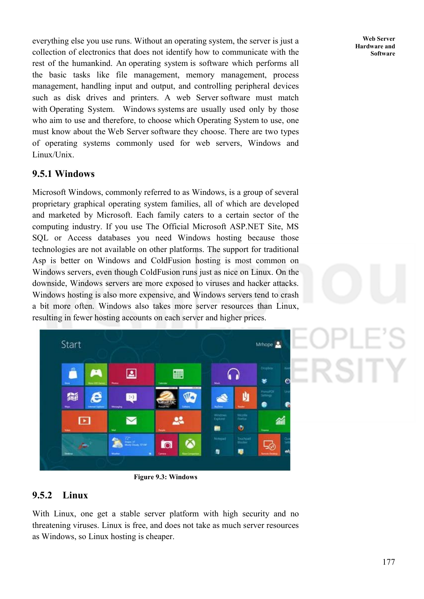everything else you use runs. Without an operating system, the server is just a collection of electronics that does not identify how to communicate with the rest of the humankind. An operating system is software which performs all the basic tasks like file management, memory management, process management, handling input and output, and controlling peripheral devices such as disk drives and printers. A web Server software must match with Operating System. Windows systems are usually used only by those who aim to use and therefore, to choose which Operating System to use, one must know about the Web Server software they choose. There are two types of operating systems commonly used for web servers, Windows and Linux/Unix.

## **9.5.1 Windows**

Microsoft Windows, commonly referred to as Windows, is a group of several proprietary graphical operating system families, all of which are developed and marketed by Microsoft. Each family caters to a certain sector of the computing industry. If you use The Official Microsoft ASP.NET Site, MS SQL or Access databases you need Windows hosting because those technologies are not available on other platforms. The support for traditional Asp is better on Windows and ColdFusion hosting is most common on Windows servers, even though ColdFusion runs just as nice on Linux. On the downside, Windows servers are more exposed to viruses and hacker attacks. Windows hosting is also more expensive, and Windows servers tend to crash a bit more often. Windows also takes more server resources than Linux, resulting in fewer hosting accounts on each server and higher prices.



**Figure 9.3: Windows**

## **9.5.2 Linux**

With Linux, one get a stable server platform with high security and no threatening viruses. Linux is free, and does not take as much server resources as Windows, so Linux hosting is cheaper.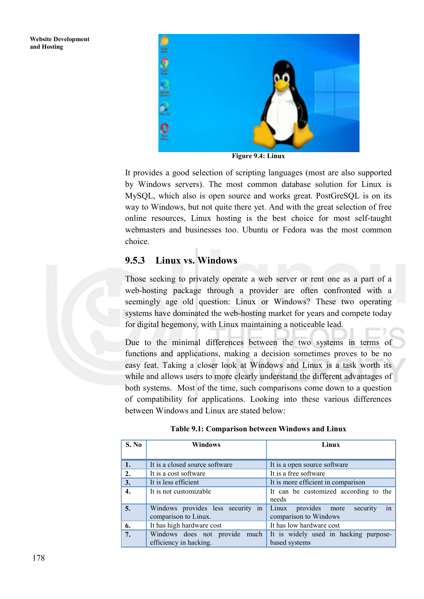

**Figure 9.4: Linux** 

It provides a good selection of scripting languages (most are also supported by Windows servers). The most common database solution for Linux is MySQL, which also is open source and works great. PostGreSQL is on its way to Windows, but not quite there yet. And with the great selection of free online resources, Linux hosting is the best choice for most self-taught webmasters and businesses too. Ubuntu or Fedora was the most common choice.

## **9.5.3 Linux vs. Windows**

Those seeking to privately operate a web server or rent one as a part of a web-hosting package through a provider are often confronted with a seemingly age old question: Linux or Windows? These two operating systems have dominated the web-hosting market for years and compete today for digital hegemony, with Linux maintaining a noticeable lead.

Due to the minimal differences between the two systems in terms of functions and applications, making a decision sometimes proves to be no easy feat. Taking a closer look at Windows and Linux is a task worth its while and allows users to more clearly understand the different advantages of both systems. Most of the time, such comparisons come down to a question of compatibility for applications. Looking into these various differences between Windows and Linux are stated below:

| S. No | <b>Windows</b>                                            | Linux                                                             |  |
|-------|-----------------------------------------------------------|-------------------------------------------------------------------|--|
| 1.    | It is a closed source software                            | It is a open source software                                      |  |
| 2.    | It is a cost software                                     | It is a free software                                             |  |
| 3.    | It is less efficient                                      | It is more efficient in comparison                                |  |
| 4.    | It is not customizable                                    | It can be customized according to the<br>needs                    |  |
| 5.    | Windows provides less security in<br>comparison to Linux. | provides more<br>Linux<br>security<br>in<br>comparison to Windows |  |
| 6.    | It has high hardware cost                                 | It has low hardware cost                                          |  |
| 7.    | Windows does not provide much<br>efficiency in hacking.   | It is widely used in hacking purpose-<br>based systems            |  |

**Table 9.1: Comparison between Windows and Linux**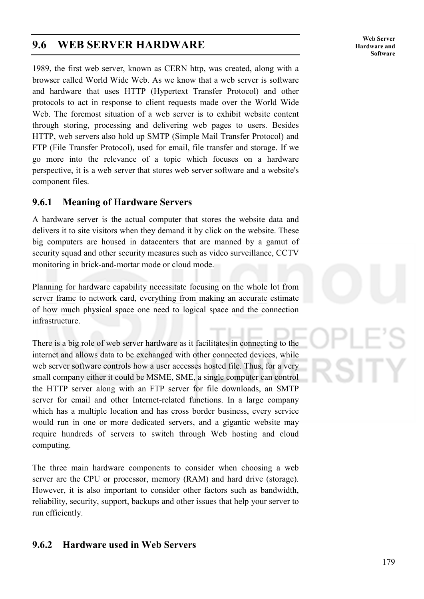## **9.6 WEB SERVER HARDWARE**

1989, the first web server, known as CERN http, was created, along with a browser called World Wide Web. As we know that a web server is software and hardware that uses HTTP (Hypertext Transfer Protocol) and other protocols to act in response to client requests made over the World Wide Web. The foremost situation of a web server is to exhibit website content through storing, processing and delivering web pages to users. Besides HTTP, web servers also hold up SMTP (Simple Mail Transfer Protocol) and FTP (File Transfer Protocol), used for email, file transfer and storage. If we go more into the relevance of a topic which focuses on a hardware perspective, it is a web server that stores web server software and a website's component files.

## **9.6.1 Meaning of Hardware Servers**

A hardware server is the actual computer that stores the website data and delivers it to site visitors when they demand it by click on the website. These big computers are housed in datacenters that are manned by a gamut of security squad and other security measures such as video surveillance, CCTV monitoring in brick-and-mortar mode or cloud mode.

Planning for hardware capability necessitate focusing on the whole lot from server frame to network card, everything from making an accurate estimate of how much physical space one need to logical space and the connection infrastructure.

There is a big role of web server hardware as it facilitates in connecting to the internet and allows data to be exchanged with other connected devices, while web server software controls how a user accesses hosted file. Thus, for a very small company either it could be MSME, SME, a single computer can control the HTTP server along with an FTP server for file downloads, an SMTP server for email and other Internet-related functions. In a large company which has a multiple location and has cross border business, every service would run in one or more dedicated servers, and a gigantic website may require hundreds of servers to switch through Web hosting and cloud computing.

The three main hardware components to consider when choosing a web server are the CPU or processor, memory (RAM) and hard drive (storage). However, it is also important to consider other factors such as bandwidth, reliability, security, support, backups and other issues that help your server to run efficiently.

## **9.6.2 Hardware used in Web Servers**

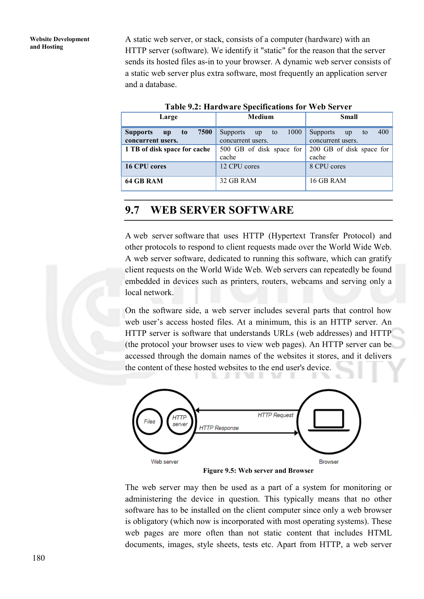**Website Development and Hosting**

A static web server, or stack, consists of a computer (hardware) with an HTTP server (software). We identify it "static" for the reason that the server sends its hosted files as-in to your browser. A dynamic web server consists of a static web server plus extra software, most frequently an application server and a database.

| Table 7.2. Hardware Specifications for web Server                                         |                                                          |                                                         |  |  |  |  |  |
|-------------------------------------------------------------------------------------------|----------------------------------------------------------|---------------------------------------------------------|--|--|--|--|--|
| Large                                                                                     | Medium                                                   | <b>Small</b>                                            |  |  |  |  |  |
| 7500<br><b>Supports</b><br>t <sub>o</sub><br>$\mathbf{u} \mathbf{p}$<br>concurrent users. | 1000<br><b>Supports</b><br>up<br>to<br>concurrent users. | 400<br><b>Supports</b><br>up<br>to<br>concurrent users. |  |  |  |  |  |
| 1 TB of disk space for cache                                                              | 500 GB of disk space for<br>cache                        | 200 GB of disk space for<br>cache                       |  |  |  |  |  |
| 16 CPU cores                                                                              | 12 CPU cores                                             | 8 CPU cores                                             |  |  |  |  |  |
| 64 GB RAM                                                                                 | 32 GB RAM                                                | 16 GB RAM                                               |  |  |  |  |  |

**Table 9.2: Hardware Specifications for Web Server** 

## **9.7 WEB SERVER SOFTWARE**

A web server software that uses HTTP (Hypertext Transfer Protocol) and other protocols to respond to client requests made over the World Wide Web. A web server software, dedicated to running this software, which can gratify client requests on the World Wide Web. Web servers can repeatedly be found embedded in devices such as printers, routers, webcams and serving only a local network.

On the software side, a web server includes several parts that control how web user's access hosted files. At a minimum, this is an HTTP server. An HTTP server is software that understands URLs (web addresses) and HTTP (the protocol your browser uses to view web pages). An HTTP server can be accessed through the domain names of the websites it stores, and it delivers the content of these hosted websites to the end user's device.



**Figure 9.5: Web server and Browser** 

The web server may then be used as a part of a system for monitoring or administering the device in question. This typically means that no other software has to be installed on the client computer since only a web browser is obligatory (which now is incorporated with most operating systems). These web pages are more often than not static content that includes HTML documents, images, style sheets, tests etc. Apart from HTTP, a web server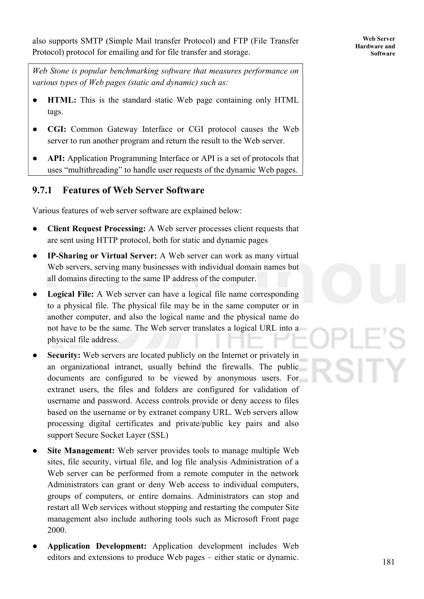also supports SMTP (Simple Mail transfer Protocol) and FTP (File Transfer Protocol) protocol for emailing and for file transfer and storage.

*Web Stone is popular benchmarking software that measures performance on various types of Web pages (static and dynamic) such as:* 

- **HTML:** This is the standard static Web page containing only HTML tags.
- **CGI:** Common Gateway Interface or CGI protocol causes the Web server to run another program and return the result to the Web server.
- **API:** Application Programming Interface or API is a set of protocols that uses "multithreading" to handle user requests of the dynamic Web pages.

## **9.7.1 Features of Web Server Software**

Various features of web server software are explained below:

- **Client Request Processing:** A Web server processes client requests that are sent using HTTP protocol, both for static and dynamic pages
- **IP-Sharing or Virtual Server:** A Web server can work as many virtual Web servers, serving many businesses with individual domain names but all domains directing to the same IP address of the computer.
- **Logical File:** A Web server can have a logical file name corresponding to a physical file. The physical file may be in the same computer or in another computer, and also the logical name and the physical name do not have to be the same. The Web server translates a logical URL into a physical file address.
- **Security:** Web servers are located publicly on the Internet or privately in an organizational intranet, usually behind the firewalls. The public documents are configured to be viewed by anonymous users. For extranet users, the files and folders are configured for validation of username and password. Access controls provide or deny access to files based on the username or by extranet company URL. Web servers allow processing digital certificates and private/public key pairs and also support Secure Socket Layer (SSL)
- **Site Management:** Web server provides tools to manage multiple Web sites, file security, virtual file, and log file analysis Administration of a Web server can be performed from a remote computer in the network Administrators can grant or deny Web access to individual computers, groups of computers, or entire domains. Administrators can stop and restart all Web services without stopping and restarting the computer Site management also include authoring tools such as Microsoft Front page 2000.
- Application Development: Application development includes Web editors and extensions to produce Web pages – either static or dynamic.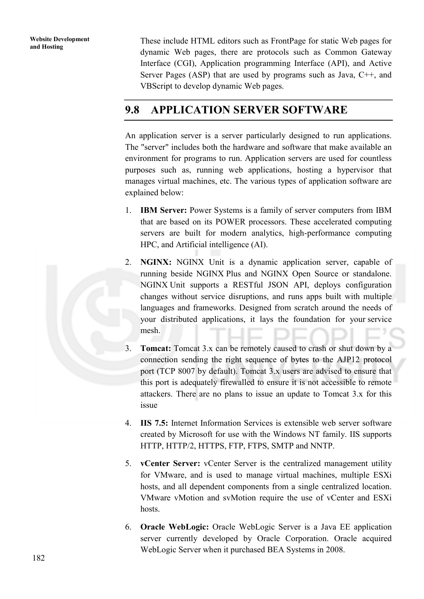These include HTML editors such as FrontPage for static Web pages for dynamic Web pages, there are protocols such as Common Gateway Interface (CGI), Application programming Interface (API), and Active Server Pages (ASP) that are used by programs such as Java, C++, and VBScript to develop dynamic Web pages.

# **9.8 APPLICATION SERVER SOFTWARE**

An application server is a server particularly designed to run applications. The "server" includes both the hardware and software that make available an environment for programs to run. Application servers are used for countless purposes such as, running web applications, hosting a hypervisor that manages virtual machines, etc. The various types of application software are explained below:

- 1. **IBM Server:** Power Systems is a family of server computers from IBM that are based on its POWER processors. These accelerated computing servers are built for modern analytics, high-performance computing HPC, and Artificial intelligence (AI).
- 2. **NGINX:** NGINX Unit is a dynamic application server, capable of running beside NGINX Plus and NGINX Open Source or standalone. NGINX Unit supports a RESTful JSON API, deploys configuration changes without service disruptions, and runs apps built with multiple languages and frameworks. Designed from scratch around the needs of your distributed applications, it lays the foundation for your service mesh.
- 3. **Tomcat:** Tomcat 3.x can be remotely caused to crash or shut down by a connection sending the right sequence of bytes to the AJP12 protocol port (TCP 8007 by default). Tomcat 3.x users are advised to ensure that this port is adequately firewalled to ensure it is not accessible to remote attackers. There are no plans to issue an update to Tomcat 3.x for this issue
- 4. **IIS 7.5:** Internet Information Services is extensible web server software created by Microsoft for use with the Windows NT family. IIS supports HTTP, HTTP/2, HTTPS, FTP, FTPS, SMTP and NNTP.
- 5. **vCenter Server:** vCenter Server is the centralized management utility for VMware, and is used to manage virtual machines, multiple ESXi hosts, and all dependent components from a single centralized location. VMware vMotion and svMotion require the use of vCenter and ESXi hosts.
- 6. **Oracle WebLogic:** Oracle WebLogic Server is a Java EE application server currently developed by Oracle Corporation. Oracle acquired WebLogic Server when it purchased BEA Systems in 2008.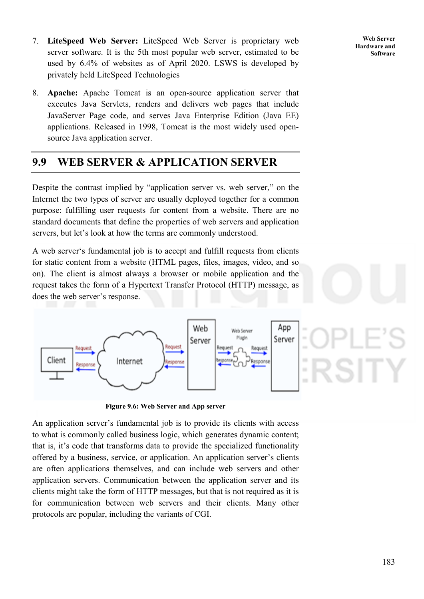- 7. **LiteSpeed Web Server:** LiteSpeed Web Server is proprietary web server software. It is the 5th most popular web server, estimated to be used by 6.4% of websites as of April 2020. LSWS is developed by privately held LiteSpeed Technologies
- 8. **Apache:** Apache Tomcat is an open-source application server that executes Java Servlets, renders and delivers web pages that include JavaServer Page code, and serves Java Enterprise Edition (Java EE) applications. Released in 1998, Tomcat is the most widely used opensource Java application server.

# **9.9 WEB SERVER & APPLICATION SERVER**

Despite the contrast implied by "application server vs. web server," on the Internet the two types of server are usually deployed together for a common purpose: fulfilling user requests for content from a website. There are no standard documents that define the properties of web servers and application servers, but let's look at how the terms are commonly understood.

A web server's fundamental job is to accept and fulfill requests from clients for static content from a website (HTML pages, files, images, video, and so on). The client is almost always a browser or mobile application and the request takes the form of a Hypertext Transfer Protocol (HTTP) message, as does the web server's response.



**Figure 9.6: Web Server and App server** 

An application server's fundamental job is to provide its clients with access to what is commonly called business logic, which generates dynamic content; that is, it's code that transforms data to provide the specialized functionality offered by a business, service, or application. An application server's clients are often applications themselves, and can include web servers and other application servers. Communication between the application server and its clients might take the form of HTTP messages, but that is not required as it is for communication between web servers and their clients. Many other protocols are popular, including the variants of CGI.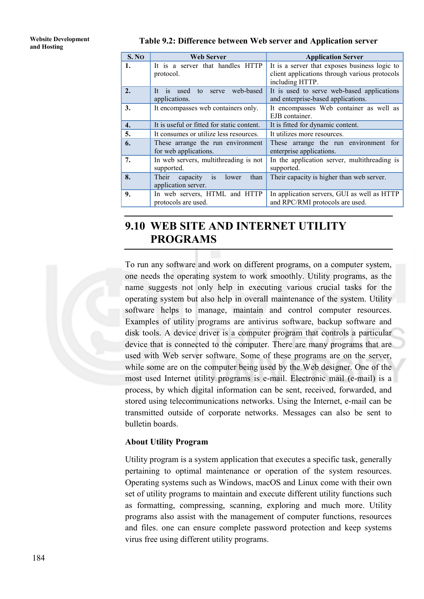# **Website Development**

#### **and Hosting Table 9.2: Difference between Web server and Application server**

| S.NO             | <b>Web Server</b>                                          | <b>Application Server</b>                                                                                         |
|------------------|------------------------------------------------------------|-------------------------------------------------------------------------------------------------------------------|
| 1.               | It is a server that handles HTTP<br>protocol.              | It is a server that exposes business logic to<br>client applications through various protocols<br>including HTTP. |
| 2.               | to serve web-based<br>It is used<br>applications.          | It is used to serve web-based applications<br>and enterprise-based applications.                                  |
| 3.               | It encompasses web containers only.                        | It encompasses Web container as well as<br>EJB container.                                                         |
| $\overline{4}$ . | It is useful or fitted for static content.                 | It is fitted for dynamic content.                                                                                 |
| 5.               | It consumes or utilize less resources.                     | It utilizes more resources.                                                                                       |
| 6.               | These arrange the run environment<br>for web applications. | These arrange the run environment for<br>enterprise applications.                                                 |
| 7.               | In web servers, multithreading is not<br>supported.        | In the application server, multithreading is<br>supported.                                                        |
| 8.               | Their capacity is<br>than<br>lower<br>application server.  | Their capacity is higher than web server.                                                                         |
| 9.               | In web servers, HTML and HTTP<br>protocols are used.       | In application servers, GUI as well as HTTP<br>and RPC/RMI protocols are used.                                    |

# **9.10 WEB SITE AND INTERNET UTILITY PROGRAMS**

To run any software and work on different programs, on a computer system, one needs the operating system to work smoothly. Utility programs, as the name suggests not only help in executing various crucial tasks for the operating system but also help in overall maintenance of the system. Utility software helps to manage, maintain and control computer resources. Examples of utility programs are antivirus software, backup software and disk tools. A device driver is a computer program that controls a particular device that is connected to the computer. There are many programs that are used with Web server software. Some of these programs are on the server, while some are on the computer being used by the Web designer. One of the most used Internet utility programs is e-mail. Electronic mail (e-mail) is a process, by which digital information can be sent, received, forwarded, and stored using telecommunications networks. Using the Internet, e-mail can be transmitted outside of corporate networks. Messages can also be sent to bulletin boards.

#### **About Utility Program**

Utility program is a system application that executes a specific task, generally pertaining to optimal maintenance or operation of the system resources. Operating systems such as Windows, macOS and Linux come with their own set of utility programs to maintain and execute different utility functions such as formatting, compressing, scanning, exploring and much more. Utility programs also assist with the management of computer functions, resources and files. one can ensure complete password protection and keep systems virus free using different utility programs.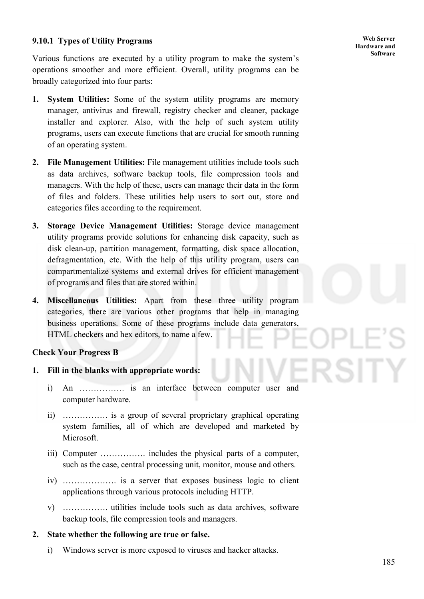#### **Web Server Hardware and Software**

#### **9.10.1 Types of Utility Programs**

Various functions are executed by a utility program to make the system's operations smoother and more efficient. Overall, utility programs can be broadly categorized into four parts:

- **1. System Utilities:** Some of the system utility programs are memory manager, antivirus and firewall, registry checker and cleaner, package installer and explorer. Also, with the help of such system utility programs, users can execute functions that are crucial for smooth running of an operating system.
- **2. File Management Utilities:** File management utilities include tools such as data archives, software backup tools, file compression tools and managers. With the help of these, users can manage their data in the form of files and folders. These utilities help users to sort out, store and categories files according to the requirement.
- **3. Storage Device Management Utilities:** Storage device management utility programs provide solutions for enhancing disk capacity, such as disk clean-up, partition management, formatting, disk space allocation, defragmentation, etc. With the help of this utility program, users can compartmentalize systems and external drives for efficient management of programs and files that are stored within.
- **4. Miscellaneous Utilities:** Apart from these three utility program categories, there are various other programs that help in managing business operations. Some of these programs include data generators, HTML checkers and hex editors, to name a few.

#### **Check Your Progress B**

- **1. Fill in the blanks with appropriate words:** 
	- i) An ……………. is an interface between computer user and computer hardware.
	- ii) ……………. is a group of several proprietary graphical operating system families, all of which are developed and marketed by Microsoft.
	- iii) Computer ……………. includes the physical parts of a computer, such as the case, central processing unit, monitor, mouse and others.
	- iv) ………………. is a server that exposes business logic to client applications through various protocols including HTTP.
	- v) ……………. utilities include tools such as data archives, software backup tools, file compression tools and managers.

#### **2. State whether the following are true or false.**

i) Windows server is more exposed to viruses and hacker attacks.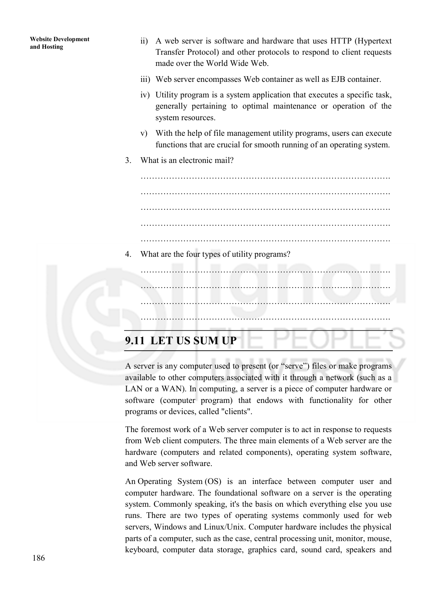- ii) A web server is software and hardware that uses HTTP (Hypertext Transfer Protocol) and other protocols to respond to client requests made over the World Wide Web.
- iii) Web server encompasses Web container as well as EJB container.
- iv) Utility program is a system application that executes a specific task, generally pertaining to optimal maintenance or operation of the system resources.
- v) With the help of file management utility programs, users can execute functions that are crucial for smooth running of an operating system.
- 3. What is an electronic mail?

……………………………………………………………………………. …………………………………………………………………………….

…………………………………………………………………………….

…………………………………………………………………………….

4. What are the four types of utility programs?

……………………………………………………………………………. ……………………………………………………………………………. …………………………………………………………………………….

# **9.11 LET US SUM UP**

A server is any computer used to present (or "serve") files or make programs available to other computers associated with it through a network (such as a LAN or a WAN). In computing, a server is a piece of computer hardware or software (computer program) that endows with functionality for other programs or devices, called "clients".

The foremost work of a Web server computer is to act in response to requests from Web client computers. The three main elements of a Web server are the hardware (computers and related components), operating system software, and Web server software.

An Operating System (OS) is an interface between computer user and computer hardware. The foundational software on a server is the operating system. Commonly speaking, it's the basis on which everything else you use runs. There are two types of operating systems commonly used for web servers, Windows and Linux/Unix. Computer hardware includes the physical parts of a computer, such as the case, central processing unit, monitor, mouse, keyboard, computer data storage, graphics card, sound card, speakers and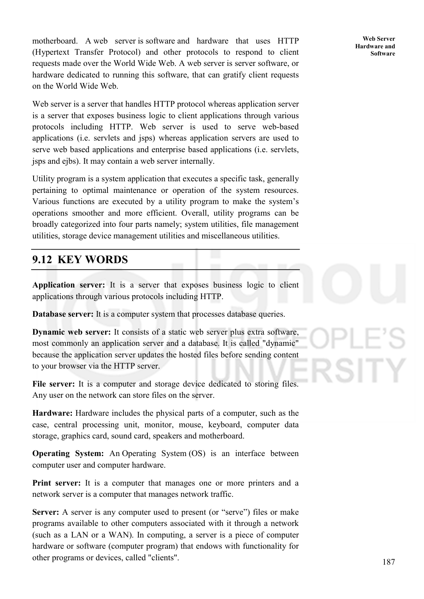motherboard. A web server is software and hardware that uses HTTP (Hypertext Transfer Protocol) and other protocols to respond to client requests made over the World Wide Web. A web server is server software, or hardware dedicated to running this software, that can gratify client requests on the World Wide Web.

Web server is a server that handles HTTP protocol whereas application server is a server that exposes business logic to client applications through various protocols including HTTP. Web server is used to serve web-based applications (i.e. servlets and jsps) whereas application servers are used to serve web based applications and enterprise based applications (i.e. servlets, jsps and ejbs). It may contain a web server internally.

Utility program is a system application that executes a specific task, generally pertaining to optimal maintenance or operation of the system resources. Various functions are executed by a utility program to make the system's operations smoother and more efficient. Overall, utility programs can be broadly categorized into four parts namely; system utilities, file management utilities, storage device management utilities and miscellaneous utilities.

# **9.12 KEY WORDS**

**Application server:** It is a server that exposes business logic to client applications through various protocols including HTTP.

**Database server:** It is a computer system that processes database queries.

**Dynamic web server:** It consists of a static web server plus extra software, most commonly an application server and a database. It is called "dynamic" because the application server updates the hosted files before sending content to your browser via the HTTP server.

File server: It is a computer and storage device dedicated to storing files. Any user on the network can store files on the server.

**Hardware:** Hardware includes the physical parts of a computer, such as the case, central processing unit, monitor, mouse, keyboard, computer data storage, graphics card, sound card, speakers and motherboard.

**Operating System:** An Operating System (OS) is an interface between computer user and computer hardware.

**Print server:** It is a computer that manages one or more printers and a network server is a computer that manages network traffic.

**Server:** A server is any computer used to present (or "serve") files or make programs available to other computers associated with it through a network (such as a LAN or a WAN). In computing, a server is a piece of computer hardware or software (computer program) that endows with functionality for other programs or devices, called "clients".